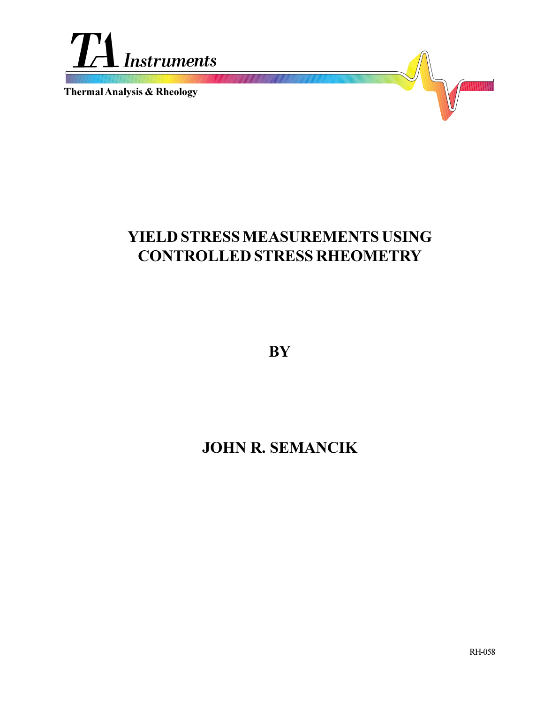

**Thermal Analysis & Rheology**

# **YIELD STRESS MEASUREMENTS USING CONTROLLED STRESS RHEOMETRY**

**BY**

# **JOHN R. SEMANCIK**

RH-058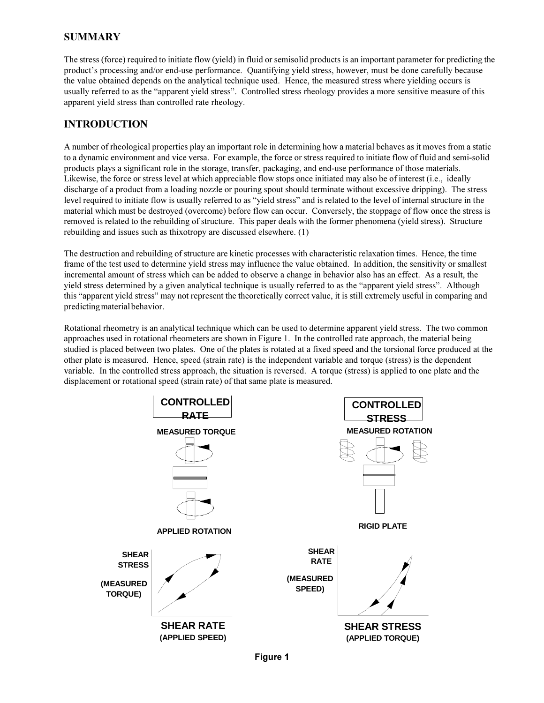## **SUMMARY**

The stress (force) required to initiate flow (yield) in fluid or semisolid products is an important parameter for predicting the product's processing and/or end-use performance. Quantifying yield stress, however, must be done carefully because the value obtained depends on the analytical technique used. Hence, the measured stress where yielding occurs is usually referred to as the "apparent yield stress". Controlled stress rheology provides a more sensitive measure of this apparent yield stress than controlled rate rheology.

## **INTRODUCTION**

A number of rheological properties play an important role in determining how a material behaves as it moves from a static to a dynamic environment and vice versa. For example, the force or stress required to initiate flow of fluid and semi-solid products plays a significant role in the storage, transfer, packaging, and end-use performance of those materials. Likewise, the force or stress level at which appreciable flow stops once initiated may also be of interest (i.e., ideally discharge of a product from a loading nozzle or pouring spout should terminate without excessive dripping). The stress level required to initiate flow is usually referred to as "yield stress" and is related to the level of internal structure in the material which must be destroyed (overcome) before flow can occur. Conversely, the stoppage of flow once the stress is removed is related to the rebuilding of structure. This paper deals with the former phenomena (yield stress). Structure rebuilding and issues such as thixotropy are discussed elsewhere. (1)

The destruction and rebuilding of structure are kinetic processes with characteristic relaxation times. Hence, the time frame of the test used to determine yield stress may influence the value obtained. In addition, the sensitivity or smallest incremental amount of stress which can be added to observe a change in behavior also has an effect. As a result, the yield stress determined by a given analytical technique is usually referred to as the "apparent yield stress". Although this "apparent yield stress" may not represent the theoretically correct value, it is still extremely useful in comparing and predicting material behavior.

Rotational rheometry is an analytical technique which can be used to determine apparent yield stress. The two common approaches used in rotational rheometers are shown in Figure 1. In the controlled rate approach, the material being studied is placed between two plates. One of the plates is rotated at a fixed speed and the torsional force produced at the other plate is measured. Hence, speed (strain rate) is the independent variable and torque (stress) is the dependent variable. In the controlled stress approach, the situation is reversed. A torque (stress) is applied to one plate and the displacement or rotational speed (strain rate) of that same plate is measured.

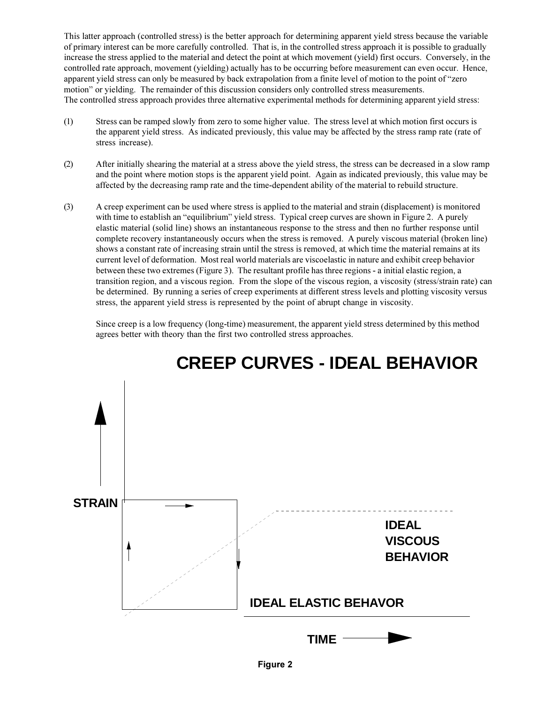This latter approach (controlled stress) is the better approach for determining apparent yield stress because the variable of primary interest can be more carefully controlled. That is, in the controlled stress approach it is possible to gradually increase the stress applied to the material and detect the point at which movement (yield) first occurs. Conversely, in the controlled rate approach, movement (yielding) actually has to be occurring before measurement can even occur. Hence, apparent yield stress can only be measured by back extrapolation from a finite level of motion to the point of "zero motion" or yielding. The remainder of this discussion considers only controlled stress measurements. The controlled stress approach provides three alternative experimental methods for determining apparent yield stress:

- (1) Stress can be ramped slowly from zero to some higher value. The stress level at which motion first occurs is the apparent yield stress. As indicated previously, this value may be affected by the stress ramp rate (rate of stress increase).
- (2) After initially shearing the material at a stress above the yield stress, the stress can be decreased in a slow ramp and the point where motion stops is the apparent yield point. Again as indicated previously, this value may be affected by the decreasing ramp rate and the time-dependent ability of the material to rebuild structure.
- (3) A creep experiment can be used where stress is applied to the material and strain (displacement) is monitored with time to establish an "equilibrium" yield stress. Typical creep curves are shown in Figure 2. A purely elastic material (solid line) shows an instantaneous response to the stress and then no further response until complete recovery instantaneously occurs when the stress is removed. A purely viscous material (broken line) shows a constant rate of increasing strain until the stress is removed, at which time the material remains at its current level of deformation. Most real world materials are viscoelastic in nature and exhibit creep behavior between these two extremes (Figure 3). The resultant profile has three regions - a initial elastic region, a transition region, and a viscous region. From the slope of the viscous region, a viscosity (stress/strain rate) can be determined. By running a series of creep experiments at different stress levels and plotting viscosity versus stress, the apparent yield stress is represented by the point of abrupt change in viscosity.

Since creep is a low frequency (long-time) measurement, the apparent yield stress determined by this method agrees better with theory than the first two controlled stress approaches.



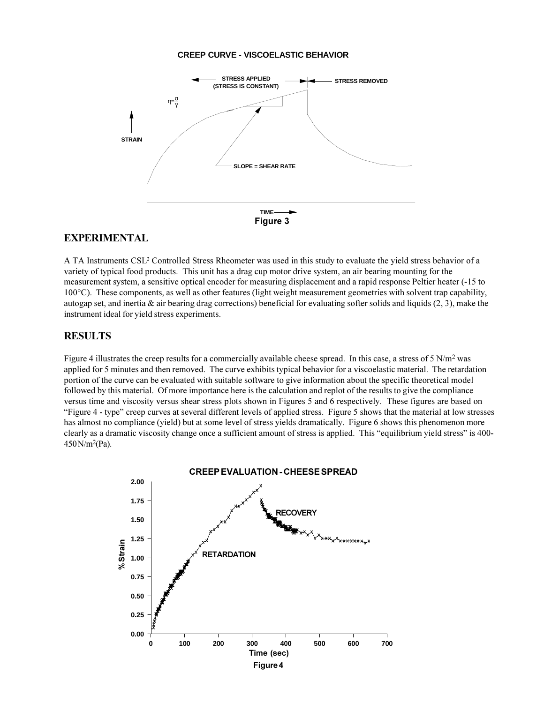#### **CREEP CURVE - VISCOELASTIC BEHAVIOR**



### **EXPERIMENTAL**

A TA Instruments CSL<sup>2</sup> Controlled Stress Rheometer was used in this study to evaluate the yield stress behavior of a variety of typical food products. This unit has a drag cup motor drive system, an air bearing mounting for the measurement system, a sensitive optical encoder for measuring displacement and a rapid response Peltier heater (-15 to 100°C). These components, as well as other features (light weight measurement geometries with solvent trap capability, autogap set, and inertia  $\&$  air bearing drag corrections) beneficial for evaluating softer solids and liquids (2, 3), make the instrument ideal for yield stress experiments.

### **RESULTS**

Figure 4 illustrates the creep results for a commercially available cheese spread. In this case, a stress of 5 N/m<sup>2</sup> was applied for 5 minutes and then removed. The curve exhibits typical behavior for a viscoelastic material. The retardation portion of the curve can be evaluated with suitable software to give information about the specific theoretical model followed by this material. Of more importance here is the calculation and replot of the results to give the compliance versus time and viscosity versus shear stress plots shown in Figures 5 and 6 respectively. These figures are based on "Figure 4 - type" creep curves at several different levels of applied stress. Figure 5 shows that the material at low stresses has almost no compliance (yield) but at some level of stress yields dramatically. Figure 6 shows this phenomenon more clearly as a dramatic viscosity change once a sufficient amount of stress is applied. This "equilibrium yield stress" is 400-450 N/m2(Pa).

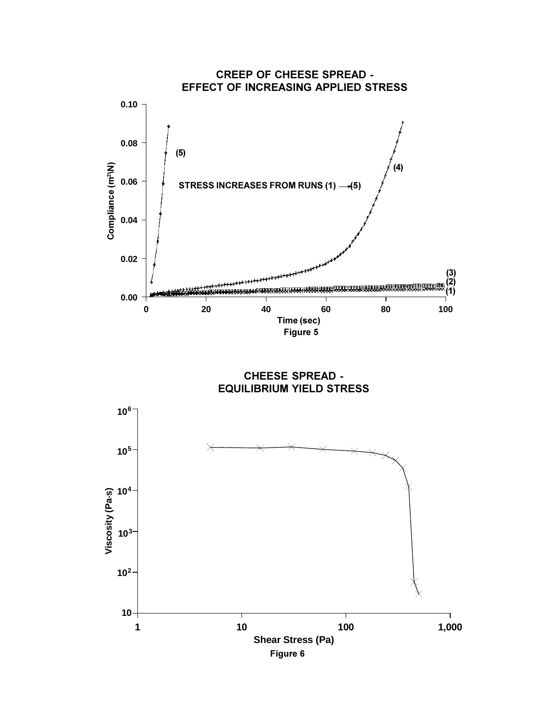

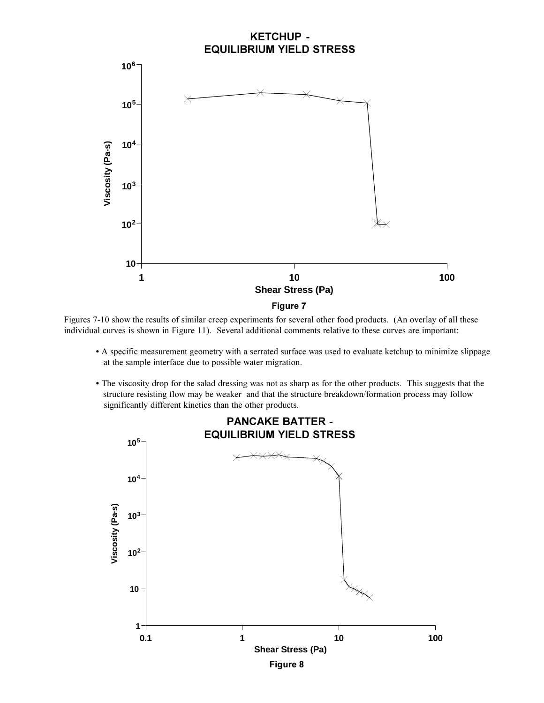

Figures 7-10 show the results of similar creep experiments for several other food products. (An overlay of all these individual curves is shown in Figure 11). Several additional comments relative to these curves are important:

- A specific measurement geometry with a serrated surface was used to evaluate ketchup to minimize slippage at the sample interface due to possible water migration.
- The viscosity drop for the salad dressing was not as sharp as for the other products. This suggests that the structure resisting flow may be weaker and that the structure breakdown/formation process may follow significantly different kinetics than the other products.

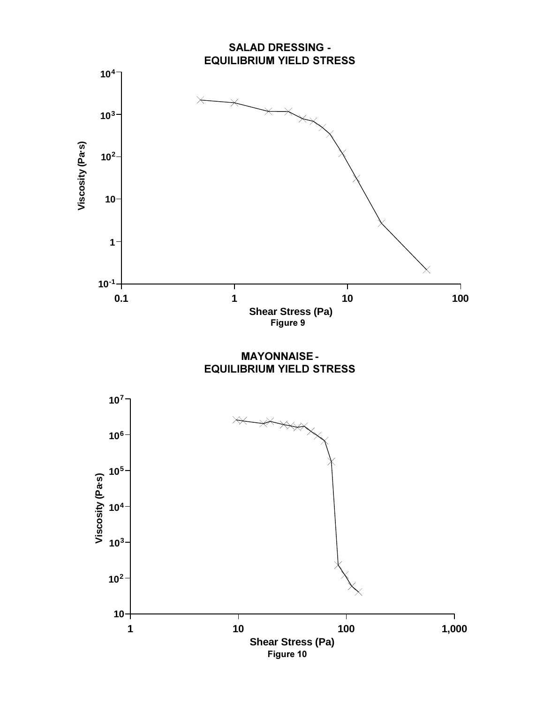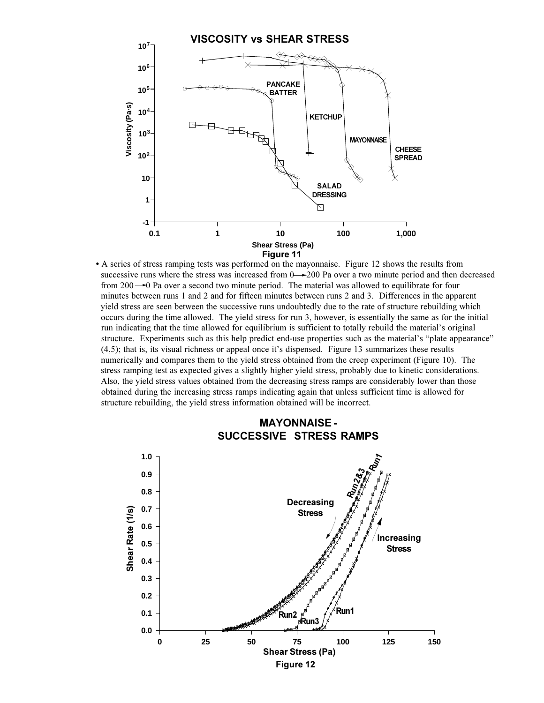

 A series of stress ramping tests was performed on the mayonnaise. Figure 12 shows the results from successive runs where the stress was increased from  $0 \rightarrow 200$  Pa over a two minute period and then decreased from  $200 - 0$  Pa over a second two minute period. The material was allowed to equilibrate for four minutes between runs 1 and 2 and for fifteen minutes between runs 2 and 3. Differences in the apparent yield stress are seen between the successive runs undoubtedly due to the rate of structure rebuilding which occurs during the time allowed. The yield stress for run 3, however, is essentially the same as for the initial run indicating that the time allowed for equilibrium is sufficient to totally rebuild the material's original structure. Experiments such as this help predict end-use properties such as the material's "plate appearance"  $(4,5)$ ; that is, its visual richness or appeal once it's dispensed. Figure 13 summarizes these results numerically and compares them to the yield stress obtained from the creep experiment (Figure 10). The stress ramping test as expected gives a slightly higher yield stress, probably due to kinetic considerations. Also, the yield stress values obtained from the decreasing stress ramps are considerably lower than those obtained during the increasing stress ramps indicating again that unless sufficient time is allowed for structure rebuilding, the yield stress information obtained will be incorrect.



## **MAYONNAISE - SUCCESSIVE STRESS RAMPS**